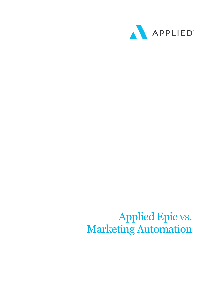

## Applied Epic vs. Marketing Automation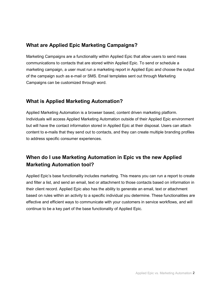## **What are Applied Epic Marketing Campaigns?**

Marketing Campaigns are a functionality within Applied Epic that allow users to send mass communications to contacts that are stored within Applied Epic. To send or schedule a marketing campaign, a user must run a marketing report in Applied Epic and choose the output of the campaign such as e-mail or SMS. Email templates sent out through Marketing Campaigns can be customized through word.

## **What is Applied Marketing Automation?**

Applied Marketing Automation is a browser based, content driven marketing platform. Individuals will access Applied Marketing Automation outside of their Applied Epic environment but will have the contact information stored in Applied Epic at their disposal. Users can attach content to e-mails that they send out to contacts, and they can create multiple branding profiles to address specific consumer experiences.

## **When do I use Marketing Automation in Epic vs the new Applied Marketing Automation tool?**

Applied Epic's base functionality includes marketing. This means you can run a report to create and filter a list, and send an email, text or attachment to those contacts based on information in their client record. Applied Epic also has the ability to generate an email, text or attachment based on rules within an activity to a specific individual you determine. These functionalities are effective and efficient ways to communicate with your customers in service workflows, and will continue to be a key part of the base functionality of Applied Epic.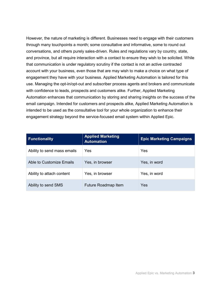However, the nature of marketing is different. Businesses need to engage with their customers through many touchpoints a month; some consultative and informative, some to round out conversations, and others purely sales-driven. Rules and regulations vary by country, state, and province, but all require interaction with a contact to ensure they wish to be solicited. While that communication is under regulatory scrutiny if the contact is not an active contracted account with your business, even those that are may wish to make a choice on what type of engagement they have with your business. Applied Marketing Automation is tailored for this use. Managing the opt-in/opt-out and subscriber process agents and brokers and communicate with confidence to leads, prospects and customers alike. Further, Applied Marketing Automation enhances that communication by storing and sharing insights on the success of the email campaign. Intended for customers and prospects alike, Applied Marketing Automation is intended to be used as the consultative tool for your whole organization to enhance their engagement strategy beyond the service-focused email system within Applied Epic.

| <b>Functionality</b>        | <b>Applied Marketing</b><br><b>Automation</b> | <b>Epic Marketing Campaigns</b> |
|-----------------------------|-----------------------------------------------|---------------------------------|
| Ability to send mass emails | Yes                                           | Yes                             |
| Able to Customize Emails    | Yes, in browser                               | Yes, in word                    |
| Ability to attach content   | Yes, in browser                               | Yes, in word                    |
| Ability to send SMS         | Future Roadmap Item                           | Yes                             |